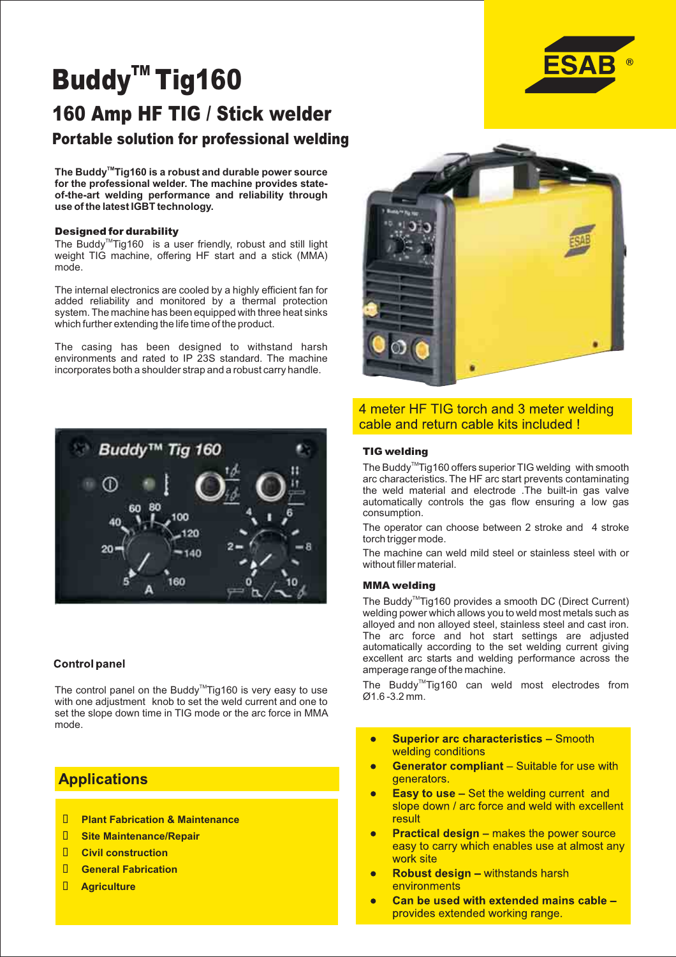# Buddy $^{m}$ Tig160 160 Amp HF TIG / Stick welder Portable solution for professional welding

The Buddy<sup>™</sup> Tig160 is a robust and durable power source **for the professional welder. The machine provides stateof-the-art welding performance and reliability through use of the latest IGBT technology.**

### Designed for durability

The Buddy<sup>™</sup>Tig160 is a user friendly, robust and still light weight TIG machine, offering HF start and a stick (MMA) mode.

The internal electronics are cooled by a highly efficient fan for added reliability and monitored by a thermal protection system. The machine has been equipped with three heat sinks which further extending the life time of the product.

The casing has been designed to withstand harsh environments and rated to IP 23S standard. The machine incorporates both a shoulder strap and a robust carry handle.



### **Control panel**

The control panel on the Buddy<sup>™</sup>Tig160 is very easy to use with one adjustment knob to set the weld current and one to set the slope down time in TIG mode or the arc force in MMA mode.

# **Applications**

- **Plant Fabrication & Maintenance**
- **Site Maintenance/Repair**
- **Civil construction**
- **General Fabrication**
- **Agriculture**



## 4 meter HF TIG torch and 3 meter welding cable and return cable kits included !

### TIG welding

The Buddy<sup>™</sup>Tig160 offers superior TIG welding with smooth arc characteristics. The HF arc start prevents contaminating the weld material and electrode .The built-in gas valve automatically controls the gas flow ensuring a low gas consumption.

The operator can choose between 2 stroke and 4 stroke torch trigger mode.

The machine can weld mild steel or stainless steel with or without filler material.

### MMA welding

The Buddy<sup>™</sup> Tig160 provides a smooth DC (Direct Current) welding power which allows you to weld most metals such as alloyed and non alloyed steel, stainless steel and cast iron. The arc force and hot start settings are adjusted automatically according to the set welding current giving excellent arc starts and welding performance across the amperage range of the machine.

The Buddy<sup>™</sup>Tig160 can weld most electrodes from Ø1.6 -3.2 mm.

- **Superior arc characteristics Smooth**  $\blacksquare$ welding conditions
- **Generator compliant** Suitable for use with Ċ generators.
- **Easy to use Set the welding current and** Ā slope down / arc force and weld with excellent result
- **Practical design makes the power source** ò easy to carry which enables use at almost any work site
- Robust design withstands harsh environments
- Can be used with extended mains cable provides extended working range.